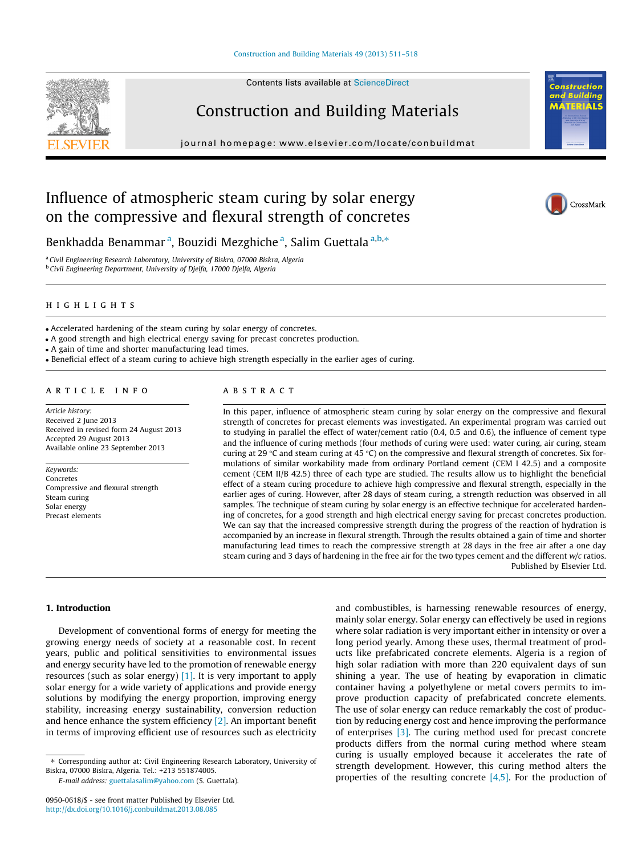## [Construction and Building Materials 49 \(2013\) 511–518](http://dx.doi.org/10.1016/j.conbuildmat.2013.08.085)





Construction and Building Materials

journal homepage: [www.elsevier.com/locate/conbuildmat](http://www.elsevier.com/locate/conbuildmat)

## Influence of atmospheric steam curing by solar energy on the compressive and flexural strength of concretes



**M** 

**Building TERIALS** 



Benkhadda Benammar<sup>a</sup>, Bouzidi Mezghiche<sup>a</sup>, Salim Guettala<sup>a,b,</sup>\*

<sup>a</sup> Civil Engineering Research Laboratory, University of Biskra, 07000 Biskra, Algeria <sup>b</sup> Civil Engineering Department, University of Djelfa, 17000 Djelfa, Algeria

## highlights

- Accelerated hardening of the steam curing by solar energy of concretes.

- A good strength and high electrical energy saving for precast concretes production.

- A gain of time and shorter manufacturing lead times.

- Beneficial effect of a steam curing to achieve high strength especially in the earlier ages of curing.

## article info

Article history: Received 2 June 2013 Received in revised form 24 August 2013 Accepted 29 August 2013 Available online 23 September 2013

Keywords: Concretes Compressive and flexural strength Steam curing Solar energy Precast elements

## abstract

In this paper, influence of atmospheric steam curing by solar energy on the compressive and flexural strength of concretes for precast elements was investigated. An experimental program was carried out to studying in parallel the effect of water/cement ratio (0.4, 0.5 and 0.6), the influence of cement type and the influence of curing methods (four methods of curing were used: water curing, air curing, steam curing at 29 °C and steam curing at 45 °C) on the compressive and flexural strength of concretes. Six formulations of similar workability made from ordinary Portland cement (CEM I 42.5) and a composite cement (CEM II/B 42.5) three of each type are studied. The results allow us to highlight the beneficial effect of a steam curing procedure to achieve high compressive and flexural strength, especially in the earlier ages of curing. However, after 28 days of steam curing, a strength reduction was observed in all samples. The technique of steam curing by solar energy is an effective technique for accelerated hardening of concretes, for a good strength and high electrical energy saving for precast concretes production. We can say that the increased compressive strength during the progress of the reaction of hydration is accompanied by an increase in flexural strength. Through the results obtained a gain of time and shorter manufacturing lead times to reach the compressive strength at 28 days in the free air after a one day steam curing and 3 days of hardening in the free air for the two types cement and the different w/c ratios. Published by Elsevier Ltd.

## 1. Introduction

Development of conventional forms of energy for meeting the growing energy needs of society at a reasonable cost. In recent years, public and political sensitivities to environmental issues and energy security have led to the promotion of renewable energy resources (such as solar energy)  $[1]$ . It is very important to apply solar energy for a wide variety of applications and provide energy solutions by modifying the energy proportion, improving energy stability, increasing energy sustainability, conversion reduction and hence enhance the system efficiency [\[2\].](#page--1-0) An important benefit in terms of improving efficient use of resources such as electricity

E-mail address: [guettalasalim@yahoo.com](mailto:guettalasalim@yahoo.com) (S. Guettala).

and combustibles, is harnessing renewable resources of energy, mainly solar energy. Solar energy can effectively be used in regions where solar radiation is very important either in intensity or over a long period yearly. Among these uses, thermal treatment of products like prefabricated concrete elements. Algeria is a region of high solar radiation with more than 220 equivalent days of sun shining a year. The use of heating by evaporation in climatic container having a polyethylene or metal covers permits to improve production capacity of prefabricated concrete elements. The use of solar energy can reduce remarkably the cost of production by reducing energy cost and hence improving the performance of enterprises [\[3\]](#page--1-0). The curing method used for precast concrete products differs from the normal curing method where steam curing is usually employed because it accelerates the rate of strength development. However, this curing method alters the properties of the resulting concrete  $[4,5]$ . For the production of

<sup>⇑</sup> Corresponding author at: Civil Engineering Research Laboratory, University of Biskra, 07000 Biskra, Algeria. Tel.: +213 551874005.

<sup>0950-0618/\$ -</sup> see front matter Published by Elsevier Ltd. <http://dx.doi.org/10.1016/j.conbuildmat.2013.08.085>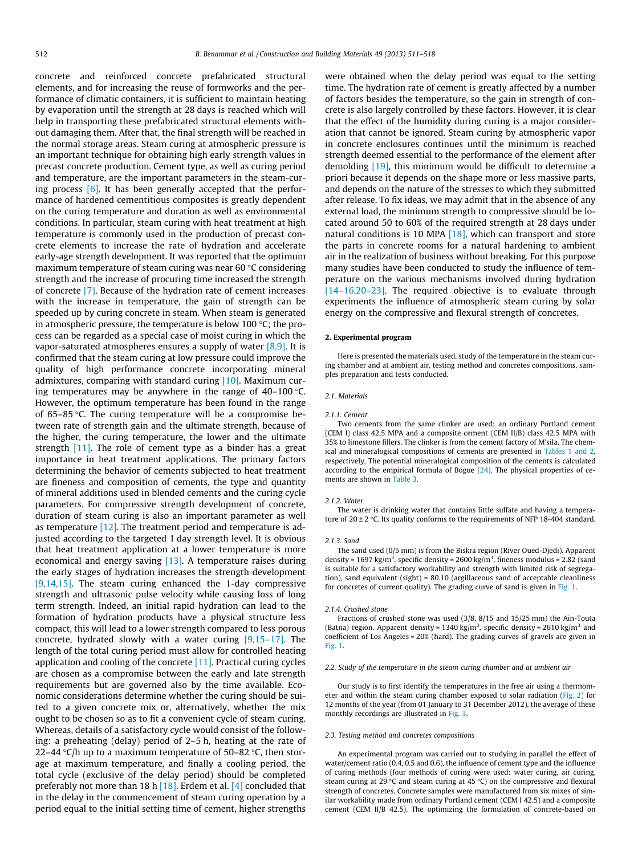concrete and reinforced concrete prefabricated structural elements, and for increasing the reuse of formworks and the performance of climatic containers, it is sufficient to maintain heating by evaporation until the strength at 28 days is reached which will help in transporting these prefabricated structural elements without damaging them. After that, the final strength will be reached in the normal storage areas. Steam curing at atmospheric pressure is an important technique for obtaining high early strength values in precast concrete production. Cement type, as well as curing period and temperature, are the important parameters in the steam-curing process  $[6]$ . It has been generally accepted that the performance of hardened cementitious composites is greatly dependent on the curing temperature and duration as well as environmental conditions. In particular, steam curing with heat treatment at high temperature is commonly used in the production of precast concrete elements to increase the rate of hydration and accelerate early-age strength development. It was reported that the optimum maximum temperature of steam curing was near 60 °C considering strength and the increase of procuring time increased the strength of concrete [\[7\]](#page--1-0). Because of the hydration rate of cement increases with the increase in temperature, the gain of strength can be speeded up by curing concrete in steam. When steam is generated in atmospheric pressure, the temperature is below 100 °C; the process can be regarded as a special case of moist curing in which the vapor-saturated atmospheres ensures a supply of water  $[8,9]$ . It is confirmed that the steam curing at low pressure could improve the quality of high performance concrete incorporating mineral admixtures, comparing with standard curing [\[10\].](#page--1-0) Maximum curing temperatures may be anywhere in the range of 40–100  $^\circ\textsf{C}.$ However, the optimum temperature has been found in the range of 65–85 -C. The curing temperature will be a compromise between rate of strength gain and the ultimate strength, because of the higher, the curing temperature, the lower and the ultimate strength [\[11\].](#page--1-0) The role of cement type as a binder has a great importance in heat treatment applications. The primary factors determining the behavior of cements subjected to heat treatment are fineness and composition of cements, the type and quantity of mineral additions used in blended cements and the curing cycle parameters. For compressive strength development of concrete, duration of steam curing is also an important parameter as well as temperature [\[12\]](#page--1-0). The treatment period and temperature is adjusted according to the targeted 1 day strength level. It is obvious that heat treatment application at a lower temperature is more economical and energy saving [\[13\].](#page--1-0) A temperature raises during the early stages of hydration increases the strength development [\[9,14,15\]](#page--1-0). The steam curing enhanced the 1-day compressive strength and ultrasonic pulse velocity while causing loss of long term strength. Indeed, an initial rapid hydration can lead to the formation of hydration products have a physical structure less compact, this will lead to a lower strength compared to less porous concrete, hydrated slowly with a water curing  $[9,15-17]$ . The length of the total curing period must allow for controlled heating application and cooling of the concrete  $[11]$ . Practical curing cycles are chosen as a compromise between the early and late strength requirements but are governed also by the time available. Economic considerations determine whether the curing should be suited to a given concrete mix or, alternatively, whether the mix ought to be chosen so as to fit a convenient cycle of steam curing. Whereas, details of a satisfactory cycle would consist of the following: a preheating (delay) period of 2–5 h, heating at the rate of 22–44 °C/h up to a maximum temperature of 50–82 °C, then storage at maximum temperature, and finally a cooling period, the total cycle (exclusive of the delay period) should be completed preferably not more than 18 h [\[18\].](#page--1-0) Erdem et al. [\[4\]](#page--1-0) concluded that in the delay in the commencement of steam curing operation by a period equal to the initial setting time of cement, higher strengths were obtained when the delay period was equal to the setting time. The hydration rate of cement is greatly affected by a number of factors besides the temperature, so the gain in strength of concrete is also largely controlled by these factors. However, it is clear that the effect of the humidity during curing is a major consideration that cannot be ignored. Steam curing by atmospheric vapor in concrete enclosures continues until the minimum is reached strength deemed essential to the performance of the element after demolding [\[19\],](#page--1-0) this minimum would be difficult to determine a priori because it depends on the shape more or less massive parts, and depends on the nature of the stresses to which they submitted after release. To fix ideas, we may admit that in the absence of any external load, the minimum strength to compressive should be located around 50 to 60% of the required strength at 28 days under natural conditions is 10 MPA  $[18]$ , which can transport and store the parts in concrete rooms for a natural hardening to ambient air in the realization of business without breaking. For this purpose many studies have been conducted to study the influence of temperature on the various mechanisms involved during hydration [\[14–16,20–23\]](#page--1-0). The required objective is to evaluate through experiments the influence of atmospheric steam curing by solar energy on the compressive and flexural strength of concretes.

#### 2. Experimental program

Here is presented the materials used, study of the temperature in the steam curing chamber and at ambient air, testing method and concretes compositions, samples preparation and tests conducted.

#### 2.1. Materials

#### 2.1.1. Cement

Two cements from the same clinker are used: an ordinary Portland cement (CEM I) class 42.5 MPA and a composite cement (CEM II/B) class 42.5 MPA with 35% to limestone fillers. The clinker is from the cement factory of M'sila. The chemical and mineralogical compositions of cements are presented in [Tables 1 and 2](#page--1-0), respectively. The potential mineralogical composition of the cements is calculated according to the empirical formula of Bogue  $[24]$ . The physical properties of cements are shown in [Table 3.](#page--1-0)

#### 2.1.2. Water

The water is drinking water that contains little sulfate and having a temperature of 20  $\pm$  2 °C. Its quality conforms to the requirements of NFP 18-404 standard.

#### 2.1.3. Sand

The sand used (0/5 mm) is from the Biskra region (River Oued-Djedi). Apparent density = 1697 kg/m<sup>3</sup>, specific density = 2600 kg/m<sup>3</sup>, fineness modulus = 2.82 (sand is suitable for a satisfactory workability and strength with limited risk of segregation), sand equivalent (sight) = 80.10 (argillaceous sand of acceptable cleanliness for concretes of current quality). The grading curve of sand is given in [Fig. 1](#page--1-0).

#### 2.1.4. Crushed stone

Fractions of crushed stone was used (3/8, 8/15 and 15/25 mm) the Ain-Touta (Batna) region. Apparent density = 1340 kg/m<sup>3</sup>, specific density = 2610 kg/m<sup>3</sup> and coefficient of Los Angeles = 20% (hard). The grading curves of gravels are given in [Fig. 1](#page--1-0).

#### 2.2. Study of the temperature in the steam curing chamber and at ambient air

Our study is to first identify the temperatures in the free air using a thermometer and within the steam curing chamber exposed to solar radiation [\(Fig. 2](#page--1-0)) for 12 months of the year (from 01 January to 31 December 2012), the average of these monthly recordings are illustrated in [Fig. 3.](#page--1-0)

#### 2.3. Testing method and concretes compositions

An experimental program was carried out to studying in parallel the effect of water/cement ratio (0.4, 0.5 and 0.6), the influence of cement type and the influence of curing methods (four methods of curing were used: water curing, air curing, steam curing at 29 °C and steam curing at 45 °C) on the compressive and flexural strength of concretes. Concrete samples were manufactured from six mixes of similar workability made from ordinary Portland cement (CEM I 42.5) and a composite cement (CEM II/B 42.5). The optimizing the formulation of concrete-based on